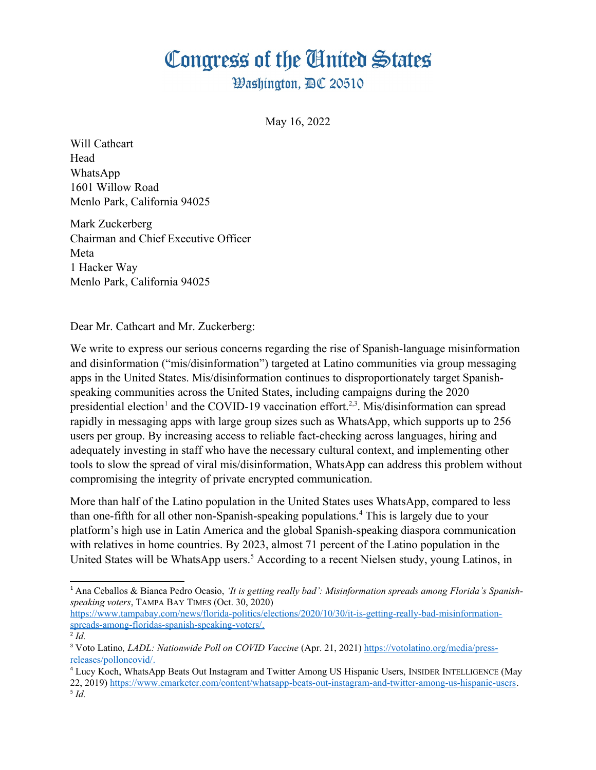## Congress of the Ginited States

**Washington, AC 20510** 

May 16, 2022

Will Cathcart Head WhatsApp 1601 Willow Road Menlo Park, California 94025

Mark Zuckerberg Chairman and Chief Executive Officer Meta 1 Hacker Way Menlo Park, California 94025

Dear Mr. Cathcart and Mr. Zuckerberg:

<span id="page-0-4"></span><span id="page-0-2"></span><span id="page-0-0"></span>We write to express our serious concerns regarding the rise of Spanish-language misinformation and disinformation ("mis/disinformation") targeted at Latino communities via group messaging apps in the United States. Mis/disinformation continues to disproportionately target Spanishspeaking communities across the United States, including campaigns during the 2020 presidential election<sup>[1](#page-0-1)</sup> and the COVID-19 vaccination effort.<sup>[2](#page-0-3),[3](#page-0-5)</sup>. Mis/disinformation can spread rapidly in messaging apps with large group sizes such as WhatsApp, which supports up to 256 users per group. By increasing access to reliable fact-checking across languages, hiring and adequately investing in staff who have the necessary cultural context, and implementing other tools to slow the spread of viral mis/disinformation, WhatsApp can address this problem without compromising the integrity of private encrypted communication.

<span id="page-0-6"></span>More than half of the Latino population in the United States uses WhatsApp, compared to less than one-fifth for all other non-Spanish-speaking populations.<sup>[4](#page-0-7)</sup> This is largely due to your platform's high use in Latin America and the global Spanish-speaking diaspora communication with relatives in home countries. By 2023, almost 71 percent of the Latino population in the United States will be WhatsApp users.<sup>[5](#page-0-9)</sup> According to a recent Nielsen study, young Latinos, in

[https://www.tampabay.com/news/florida-politics/elections/2020/10/30/it-is-getting-really-bad-misinformation](https://www.tampabay.com/news/florida-politics/elections/2020/10/30/it-is-getting-really-bad-misinformation-spreads-among-floridas-spanish-speaking-voters/)  [spreads-among-floridas-spanish-speaking-voters/](https://www.tampabay.com/news/florida-politics/elections/2020/10/30/it-is-getting-really-bad-misinformation-spreads-among-floridas-spanish-speaking-voters/).

<span id="page-0-9"></span><span id="page-0-7"></span>[4](#page-0-6) Lucy Koch, WhatsApp Beats Out Instagram and Twitter Among US Hispanic Users, INSIDER INTELLIGENCE (May 22, 2019) [https://www.emarketer.com/content/whatsapp-beats-out-instagram-and-twitter-among-us-hispanic-users.](https://www.emarketer.com/content/whatsapp-beats-out-instagram-and-twitter-among-us-hispanic-users) [5](#page-0-8) *Id.*

<span id="page-0-8"></span><span id="page-0-1"></span>[<sup>1</sup>](#page-0-0) Ana Ceballos & Bianca Pedro Ocasio, *'It is getting really bad': Misinformation spreads among Florida's Spanishspeaking voters*, TAMPA BAY TIMES (Oct. 30, 2020)

<span id="page-0-3"></span> $^{2}$  $^{2}$  $^{2}$ *Id.* 

<span id="page-0-5"></span>[<sup>3</sup>](#page-0-4) Voto Latino*, LADL: Nationwide Poll on COVID Vaccine* (Apr. 21, 2021) [https://votolatino.org/media/press](https://votolatino.org/media/press-releases/polloncovid/)  [releases/polloncovid/](https://votolatino.org/media/press-releases/polloncovid/).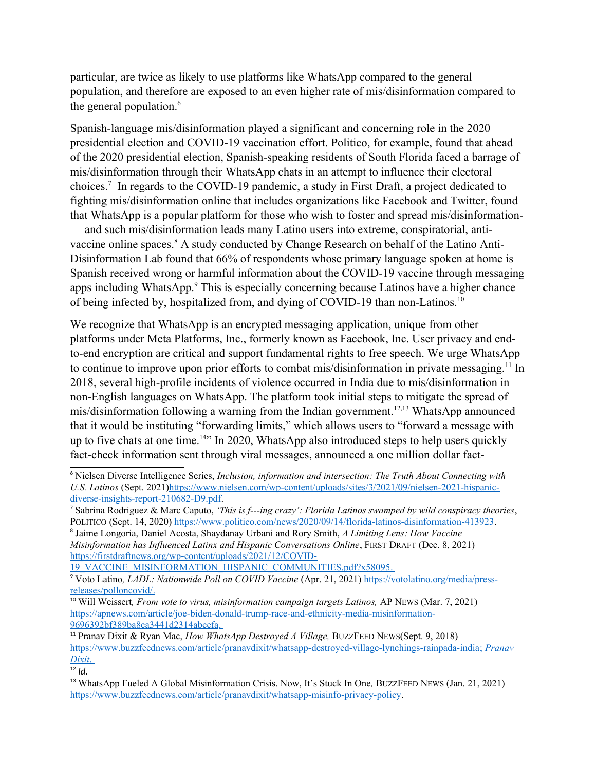<span id="page-1-0"></span>particular, are twice as likely to use platforms like WhatsApp compared to the general population, and therefore are exposed to an even higher rate of mis/disinformation compared to the general population.<sup>[6](#page-1-1)</sup>

<span id="page-1-2"></span>Spanish-language mis/disinformation played a significant and concerning role in the 2020 presidential election and COVID-19 vaccination effort. Politico, for example, found that ahead of the 2020 presidential election, Spanish-speaking residents of South Florida faced a barrage of mis/disinformation through their WhatsApp chats in an attempt to influence their electoral choices.<sup>[7](#page-1-3)</sup> In regards to the COVID-19 pandemic, a study in First Draft, a project dedicated to fighting mis/disinformation online that includes organizations like Facebook and Twitter, found that WhatsApp is a popular platform for those who wish to foster and spread mis/disinformation- — and such mis/disinformation leads many Latino users into extreme, conspiratorial, anti-vaccine online spaces.<sup>[8](#page-1-5)</sup> A study conducted by Change Research on behalf of the Latino Anti-Disinformation Lab found that 66% of respondents whose primary language spoken at home is Spanish received wrong or harmful information about the COVID-19 vaccine through messaging apps including WhatsApp.<sup>[9](#page-1-7)</sup> This is especially concerning because Latinos have a higher chance of being infected by, hospitalized from, and dying of COVID-19 than non-Latinos.[10](#page-1-9)

<span id="page-1-10"></span><span id="page-1-8"></span><span id="page-1-6"></span><span id="page-1-4"></span>We recognize that WhatsApp is an encrypted messaging application, unique from other platforms under Meta Platforms, Inc., formerly known as Facebook, Inc. User privacy and endto-end encryption are critical and support fundamental rights to free speech. We urge WhatsApp to continue to improve upon prior efforts to combat mis/disinformation in private messaging.<sup>[11](#page-1-11)</sup> In 2018, several high-profile incidents of violence occurred in India due to mis/disinformation in non-English languages on WhatsApp. The platform took initial steps to mitigate the spread of mis/disinformation following a warning from the Indian government.<sup>[12](#page-1-13)[,13](#page-1-15)</sup> WhatsApp announced that it would be instituting "forwarding limits," which allows users to "forward a message with up to five chats at one time.<sup>[14](#page-2-0)"</sup> In 2020, WhatsApp also introduced steps to help users quickly fact-check information sent through viral messages, announced a one million dollar fact-

19\_VACCINE\_MISINFORMATION\_HISPANIC\_COMMUNITIES.pdf?x58095.

<span id="page-1-16"></span><span id="page-1-14"></span><span id="page-1-12"></span><span id="page-1-1"></span>[<sup>6</sup>](#page-1-0) Nielsen Diverse Intelligence Series, *Inclusion, information and intersection: The Truth About Connecting with U.S. Latinos* (Sept. 2021)[https://www.nielsen.com/wp-content/uploads/sites/3/2021/09/nielsen-2021-hispanic](https://www.nielsen.com/wp-content/uploads/sites/3/2021/09/nielsen-2021-hispanic-diverse-insights-report-210682-D9.pdf)[diverse-insights-report-210682-D9.pdf](https://www.nielsen.com/wp-content/uploads/sites/3/2021/09/nielsen-2021-hispanic-diverse-insights-report-210682-D9.pdf).

<span id="page-1-3"></span>[<sup>7</sup>](#page-1-2) Sabrina Rodriguez & Marc Caputo, *'This is f---ing crazy': Florida Latinos swamped by wild conspiracy theories*, POLITICO (Sept. 14, 2020)<https://www.politico.com/news/2020/09/14/florida-latinos-disinformation-413923>.

<span id="page-1-5"></span>[<sup>8</sup>](#page-1-4) Jaime Longoria, Daniel Acosta, Shaydanay Urbani and Rory Smith, *A Limiting Lens: How Vaccine Misinformation has Influenced Latinx and Hispanic Conversations Online*, FIRST DRAFT (Dec. 8, 2021) [https://firstdraftnews.org/wp-content/uploads/2021/12/COVID-](https://firstdraftnews.org/wp-content/uploads/2021/12/COVID-19_VACCINE_MISINFORMATION_HISPANIC_COMMUNITIES.pdf?x58095)

<span id="page-1-7"></span>[<sup>9</sup>](#page-1-6) Voto Latino*, LADL: Nationwide Poll on COVID Vaccine* (Apr. 21, 2021) [https://votolatino.org/media/press](https://votolatino.org/media/press-releases/polloncovid/)  [releases/polloncovid/](https://votolatino.org/media/press-releases/polloncovid/).

<span id="page-1-9"></span><sup>&</sup>lt;sup>[10](#page-1-8)</sup> Will Weissert, *From vote to virus, misinformation campaign targets Latinos, AP NEWS (Mar. 7, 2021)* [https://apnews.com/article/joe-biden-donald-trump-race-and-ethnicity-media-misinformation-](https://apnews.com/article/joe-biden-donald-trump-race-and-ethnicity-media-misinformation-9696392bf389ba8ca3441d2314abcefa)  [9696392bf389ba8ca3441d2314abcefa .](https://apnews.com/article/joe-biden-donald-trump-race-and-ethnicity-media-misinformation-9696392bf389ba8ca3441d2314abcefa)

<span id="page-1-11"></span>[<sup>11</sup>](#page-1-10) Pranav Dixit & Ryan Mac, *How WhatsApp Destroyed A Village,* BUZZFEED NEWS(Sept. 9, 2018) <https://www.buzzfeednews.com/article/pranavdixit/whatsapp-destroyed-village-lynchings-rainpada-india> ; *Pranav Dixit* .

<span id="page-1-13"></span> $12$  *Id.* 

<span id="page-1-15"></span>[<sup>13</sup>](#page-1-14) WhatsApp Fueled A Global Misinformation Crisis. Now, It's Stuck In One*,* BUZZFEED NEWS (Jan. 21, 2021) [https://www.buzzfeednews.com/article/pranavdixit/whatsapp-misinfo-privacy-policy.](https://www.buzzfeednews.com/article/pranavdixit/whatsapp-misinfo-privacy-policy)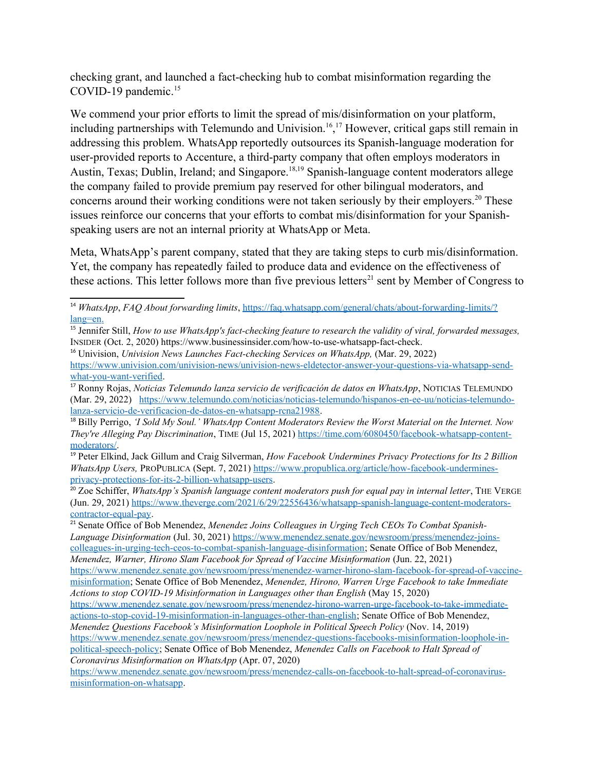<span id="page-2-1"></span>checking grant, and launched a fact-checking hub to combat misinformation regarding the COVID-19 pandemic.<sup>[15](#page-2-2)</sup>

<span id="page-2-9"></span><span id="page-2-7"></span><span id="page-2-5"></span><span id="page-2-3"></span>We commend your prior efforts to limit the spread of mis/disinformation on your platform, including partnerships with Telemundo and Univision.<sup>[16](#page-2-4), [17](#page-2-6)</sup> However, critical gaps still remain in addressing this problem. WhatsApp reportedly outsources its Spanish-language moderation for user-provided reports to Accenture, a third-party company that often employs moderators in Austin, Texas; Dublin, Ireland; and Singapore.<sup>[18](#page-2-8)[,19](#page-2-10)</sup> Spanish-language content moderators allege the company failed to provide premium pay reserved for other bilingual moderators, and concerns around their working conditions were not taken seriously by their employers.<sup>[20](#page-2-12)</sup> These issues reinforce our concerns that your efforts to combat mis/disinformation for your Spanishspeaking users are not an internal priority at WhatsApp or Meta.

<span id="page-2-11"></span>Meta, WhatsApp's parent company, stated that they are taking steps to curb mis/disinformation. Yet, the company has repeatedly failed to produce data and evidence on the effectiveness of these actions. This letter follows more than five previous letters<sup>[21](#page-2-14)</sup> sent by Member of Congress to

<span id="page-2-13"></span><span id="page-2-0"></span>[<sup>14</sup>](#page-1-16) *WhatsApp*, *FAQ About forwarding limits*, [https://faq.whatsapp.com/general/chats/about-forwarding-limits/?](https://faq.whatsapp.com/general/chats/about-forwarding-limits/?lang=en)  [lang=en](https://faq.whatsapp.com/general/chats/about-forwarding-limits/?lang=en).

<span id="page-2-2"></span>[<sup>15</sup>](#page-2-1) Jennifer Still, *How to use WhatsApp's fact-checking feature to research the validity of viral, forwarded messages,*  INSIDER (Oct. 2, 2020) https://www.businessinsider.com/how-to-use-whatsapp-fact-check.

<span id="page-2-4"></span><sup>&</sup>lt;sup>[16](#page-2-3)</sup> Univision, *Univision News Launches Fact-checking Services on WhatsApp*, (Mar. 29, 2022)

[https://www.univision.com/univision-news/univision-news-eldetector-answer-your-questions-via-whatsapp-send](https://www.univision.com/univision-news/univision-news-eldetector-answer-your-questions-via-whatsapp-send-what-you-want-verified)[what-you-want-verified](https://www.univision.com/univision-news/univision-news-eldetector-answer-your-questions-via-whatsapp-send-what-you-want-verified).

<span id="page-2-6"></span>[<sup>17</sup>](#page-2-5) Ronny Rojas, *Noticias Telemundo lanza servicio de verificación de datos en WhatsApp*, NOTICIAS TELEMUNDO (Mar. 29, 2022) [https://www.telemundo.com/noticias/noticias-telemundo/hispanos-en-ee-uu/noticias-telemundo](https://www.telemundo.com/noticias/noticias-telemundo/hispanos-en-ee-uu/noticias-telemundo-lanza-servicio-de-verificacion-de-datos-en-whatsapp-rcna21988)[lanza-servicio-de-verificacion-de-datos-en-whatsapp-rcna21988.](https://www.telemundo.com/noticias/noticias-telemundo/hispanos-en-ee-uu/noticias-telemundo-lanza-servicio-de-verificacion-de-datos-en-whatsapp-rcna21988)

<span id="page-2-8"></span>[<sup>18</sup>](#page-2-7) Billy Perrigo, *'I Sold My Soul.' WhatsApp Content Moderators Review the Worst Material on the Internet. Now They're Alleging Pay Discrimination*, TIME (Jul 15, 2021) [https://time.com/6080450/facebook-whatsapp-content](https://time.com/6080450/facebook-whatsapp-content-moderators/)[moderators/.](https://time.com/6080450/facebook-whatsapp-content-moderators/)

<span id="page-2-10"></span>[<sup>19</sup>](#page-2-9) Peter Elkind, Jack Gillum and Craig Silverman, *How Facebook Undermines Privacy Protections for Its 2 Billion WhatsApp Users, PROPUBLICA (Sept. 7, 2021)* [https://www.propublica.org/article/how-facebook-undermines](https://www.propublica.org/article/how-facebook-undermines-privacy-protections-for-its-2-billion-whatsapp-users)[privacy-protections-for-its-2-billion-whatsapp-users](https://www.propublica.org/article/how-facebook-undermines-privacy-protections-for-its-2-billion-whatsapp-users).

<span id="page-2-12"></span><sup>&</sup>lt;sup>[20](#page-2-11)</sup> Zoe Schiffer, *WhatsApp's Spanish language content moderators push for equal pay in internal letter*, THE VERGE (Jun. 29, 2021) [https://www.theverge.com/2021/6/29/22556436/whatsapp-spanish-language-content-moderators](https://www.theverge.com/2021/6/29/22556436/whatsapp-spanish-language-content-moderators-contractor-equal-pay)[contractor-equal-pay](https://www.theverge.com/2021/6/29/22556436/whatsapp-spanish-language-content-moderators-contractor-equal-pay).

<span id="page-2-14"></span><sup>&</sup>lt;sup>[21](#page-2-13)</sup> Senate Office of Bob Menendez, Menendez Joins Colleagues in Urging Tech CEOs To Combat Spanish-*Language Disinformation* (Jul. 30, 2021) [https://www.menendez.senate.gov/newsroom/press/menendez-joins](https://www.menendez.senate.gov/newsroom/press/menendez-joins-colleagues-in-urging-tech-ceos-to-combat-spanish-language-disinformation)[colleagues-in-urging-tech-ceos-to-combat-spanish-language-disinformation;](https://www.menendez.senate.gov/newsroom/press/menendez-joins-colleagues-in-urging-tech-ceos-to-combat-spanish-language-disinformation) Senate Office of Bob Menendez, *Menendez, Warner, Hirono Slam Facebook for Spread of Vaccine Misinformation* (Jun. 22, 2021)

[https://www.menendez.senate.gov/newsroom/press/menendez-warner-hirono-slam-facebook-for-spread-of-vaccine](https://www.menendez.senate.gov/newsroom/press/menendez-warner-hirono-slam-facebook-for-spread-of-vaccine-misinformation)[misinformation;](https://www.menendez.senate.gov/newsroom/press/menendez-warner-hirono-slam-facebook-for-spread-of-vaccine-misinformation) Senate Office of Bob Menendez, *Menendez, Hirono, Warren Urge Facebook to take Immediate Actions to stop COVID-19 Misinformation in Languages other than English* (May 15, 2020)

[https://www.menendez.senate.gov/newsroom/press/menendez-hirono-warren-urge-facebook-to-take-immediate](https://www.menendez.senate.gov/newsroom/press/menendez-hirono-warren-urge-facebook-to-take-immediate-actions-to-stop-covid-19-misinformation-in-languages-other-than-english)[actions-to-stop-covid-19-misinformation-in-languages-other-than-english](https://www.menendez.senate.gov/newsroom/press/menendez-hirono-warren-urge-facebook-to-take-immediate-actions-to-stop-covid-19-misinformation-in-languages-other-than-english); Senate Office of Bob Menendez,

*Menendez Questions Facebook's Misinformation Loophole in Political Speech Policy* (Nov. 14, 2019) [https://www.menendez.senate.gov/newsroom/press/menendez-questions-facebooks-misinformation-loophole-in](https://www.menendez.senate.gov/newsroom/press/menendez-questions-facebooks-misinformation-loophole-in-political-speech-policy)[political-speech-policy;](https://www.menendez.senate.gov/newsroom/press/menendez-questions-facebooks-misinformation-loophole-in-political-speech-policy) Senate Office of Bob Menendez, *Menendez Calls on Facebook to Halt Spread of* 

*Coronavirus Misinformation on WhatsApp* (Apr. 07, 2020) [https://www.menendez.senate.gov/newsroom/press/menendez-calls-on-facebook-to-halt-spread-of-coronavirus](https://www.menendez.senate.gov/newsroom/press/menendez-calls-on-facebook-to-halt-spread-of-coronavirus-misinformation-on-whatsapp)[misinformation-on-whatsapp](https://www.menendez.senate.gov/newsroom/press/menendez-calls-on-facebook-to-halt-spread-of-coronavirus-misinformation-on-whatsapp).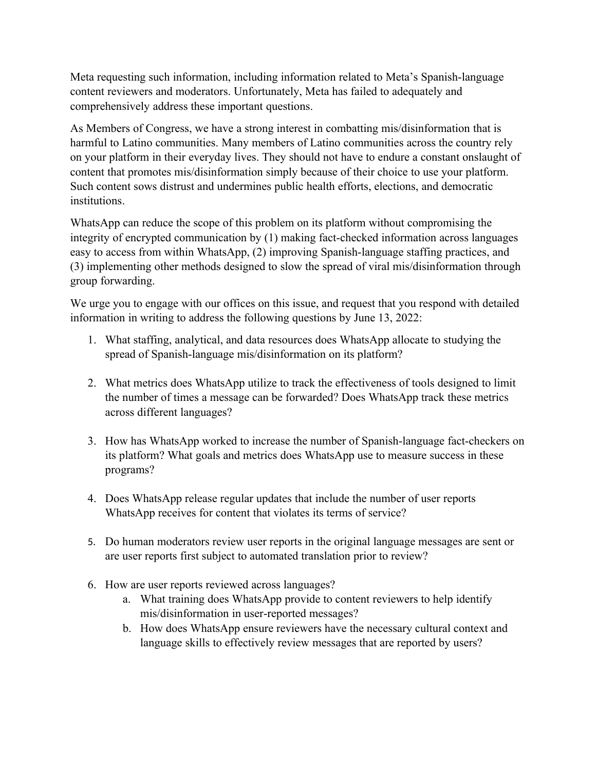Meta requesting such information, including information related to Meta's Spanish-language content reviewers and moderators. Unfortunately, Meta has failed to adequately and comprehensively address these important questions.

As Members of Congress, we have a strong interest in combatting mis/disinformation that is harmful to Latino communities. Many members of Latino communities across the country rely on your platform in their everyday lives. They should not have to endure a constant onslaught of content that promotes mis/disinformation simply because of their choice to use your platform. Such content sows distrust and undermines public health efforts, elections, and democratic institutions.

WhatsApp can reduce the scope of this problem on its platform without compromising the integrity of encrypted communication by (1) making fact-checked information across languages easy to access from within WhatsApp, (2) improving Spanish-language staffing practices, and (3) implementing other methods designed to slow the spread of viral mis/disinformation through group forwarding.

We urge you to engage with our offices on this issue, and request that you respond with detailed information in writing to address the following questions by June 13, 2022:

- 1. What staffing, analytical, and data resources does WhatsApp allocate to studying the spread of Spanish-language mis/disinformation on its platform?
- 2. What metrics does WhatsApp utilize to track the effectiveness of tools designed to limit the number of times a message can be forwarded? Does WhatsApp track these metrics across different languages?
- 3. How has WhatsApp worked to increase the number of Spanish-language fact-checkers on its platform? What goals and metrics does WhatsApp use to measure success in these programs?
- 4. Does WhatsApp release regular updates that include the number of user reports WhatsApp receives for content that violates its terms of service?
- 5. Do human moderators review user reports in the original language messages are sent or are user reports first subject to automated translation prior to review?
- 6. How are user reports reviewed across languages?
	- a. What training does WhatsApp provide to content reviewers to help identify mis/disinformation in user-reported messages?
	- b. How does WhatsApp ensure reviewers have the necessary cultural context and language skills to effectively review messages that are reported by users?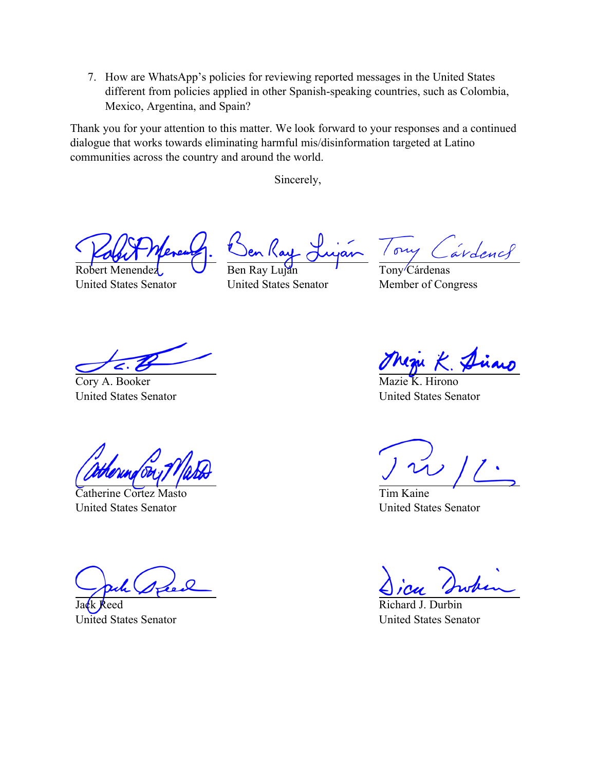7. How are WhatsApp's policies for reviewing reported messages in the United States different from policies applied in other Spanish-speaking countries, such as Colombia, Mexico, Argentina, and Spain?

Thank you for your attention to this matter. We look forward to your responses and a continued dialogue that works towards eliminating harmful mis/disinformation targeted at Latino communities across the country and around the world.

Sincerely,

Robert Menendez United States Senator

Ben Ray Luján United States Senator

ory ardencl

Tony<sup>/</sup>Cárdenas Member of Congress

Cory A. Booker United States Senator

Catherine Cortez Masto United States Senator

Jack Reed United States Senator

Hirono United States Senator

Tim Kaine United States Senator

Richard J. United States Senator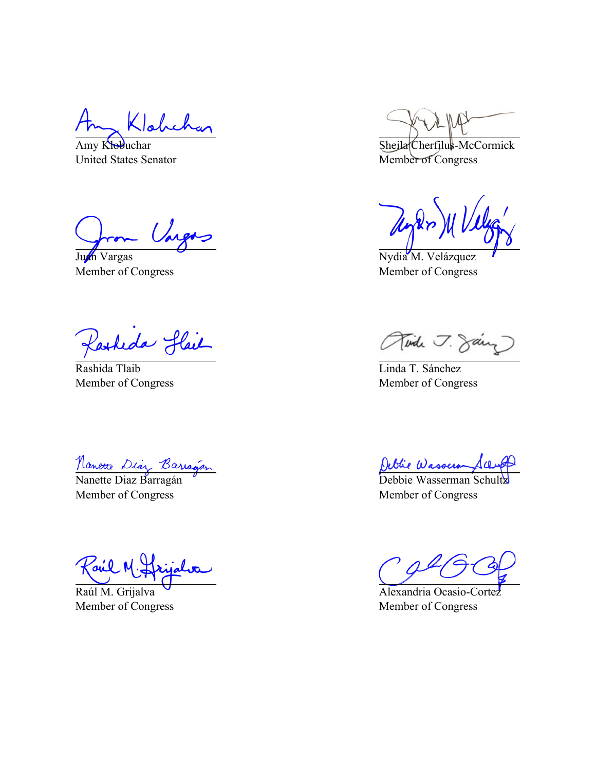Habeh

Amy Klobuchar United States Senator

Vargos

Juan Vargas Member of Congress

Kasheda Hail

Rashida Tlaib Member of Congress

Nanette Diaz Barragán

Member of Congress

Fail M.

Raúl M. Grijalva Member of Congress

Sheila Cherfilus-McCormick Member of Congress

Nydia M. Velázquez Member of Congress

Tinde J. Jany

Linda T. Sánchez Member of Congress

Debbie Wasserman Schultz

Member of Congress

Alexandria Ocasio-Cortez Member of Congress